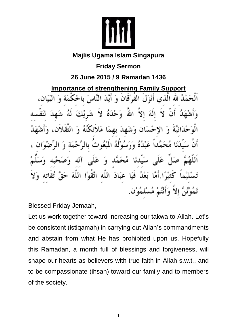

## **Majlis Ugama Islam Singapura**

**Friday Sermon**

## **26 June 2015 / 9 Ramadan 1436**

**Importance of strengthening Family Support** لَٰہُ لَلّٰہَ الّٰذِی أَنْزَلَ الْفَوْْقَانَ وَ أَيُّدَ النَّاسَ بِالْحَكَمَةِ عَلَّم، أله مَـ ىدئا عَبَادَ اللَّه اتَّقَوْا اللہ ĽÀ

Blessed Friday Jemaah,

Let us work together toward increasing our takwa to Allah. Let's be consistent (istiqamah) in carrying out Allah's commandments and abstain from what He has prohibited upon us. Hopefully this Ramadan, a month full of blessings and forgiveness, will shape our hearts as believers with true faith in Allah s.w.t., and to be compassionate (ihsan) toward our family and to members of the society.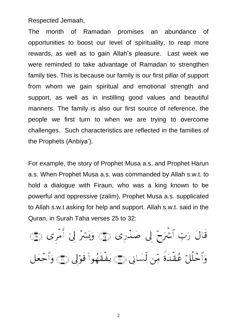Respected Jemaah,

The month of Ramadan promises an abundance of opportunities to boost our level of spirituality, to reap more rewards, as well as to gain Allah's pleasure. Last week we were reminded to take advantage of Ramadan to strengthen family ties. This is because our family is our first pillar of support from whom we gain spiritual and emotional strength and support, as well as in instilling good values and beautiful manners. The family is also our first source of reference, the people we first turn to when we are trying to overcome challenges. Such characteristics are reflected in the families of the Prophets (Anbiya').

For example, the story of Prophet Musa a.s. and Prophet Harun a.s. When Prophet Musa a.s. was commanded by Allah s.w.t. to hold a dialogue with Firaun, who was a king known to be powerful and oppressive (zalim), Prophet Musa a.s. supplicated to Allah s.w.t asking for help and support. Allah s.w.t. said in the Quran, in Surah Taha verses 25 to 32:

قَالَ رَبِّ ٱشۡرَحۡ لِی صَدۡرِی ۞ وَیَسِّرۡ لِیٓ أَمۡرِی ۞ وَٱحۡلُلۡ عُقۡدَةً مِّن لِّسَانِي ١٤٠ يَفۡقَهُوا۟ قَوۡلِي ١٤٠ وَٱجۡعَل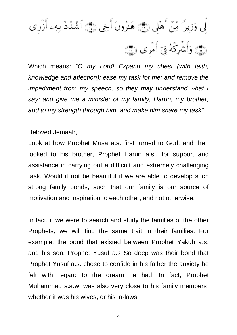لِّي وَزِيرًا مِّنَّ أَهْلِي رَبَّجَ هَنُرُونَ أَخِي رَبَّجَ ٱشۡنُدۡ بِهِۦٓ أَزَّرِي ١

Which means: *"O my Lord! Expand my chest (with faith, knowledge and affection); ease my task for me; and remove the impediment from my speech, so they may understand what I say: and give me a minister of my family, Harun, my brother; add to my strength through him, and make him share my task".*

## Beloved Jemaah,

Look at how Prophet Musa a.s. first turned to God, and then looked to his brother, Prophet Harun a.s., for support and assistance in carrying out a difficult and extremely challenging task. Would it not be beautiful if we are able to develop such strong family bonds, such that our family is our source of motivation and inspiration to each other, and not otherwise.

In fact, if we were to search and study the families of the other Prophets, we will find the same trait in their families. For example, the bond that existed between Prophet Yakub a.s. and his son, Prophet Yusuf a.s So deep was their bond that Prophet Yusuf a.s. chose to confide in his father the anxiety he felt with regard to the dream he had. In fact, Prophet Muhammad s.a.w. was also very close to his family members; whether it was his wives, or his in-laws.

<sup>3</sup>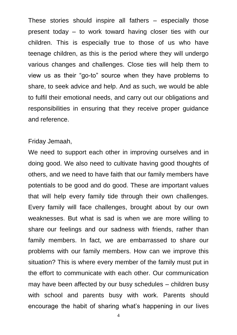These stories should inspire all fathers – especially those present today – to work toward having closer ties with our children. This is especially true to those of us who have teenage children, as this is the period where they will undergo various changes and challenges. Close ties will help them to view us as their "go-to" source when they have problems to share, to seek advice and help. And as such, we would be able to fulfil their emotional needs, and carry out our obligations and responsibilities in ensuring that they receive proper guidance and reference.

## Friday Jemaah,

We need to support each other in improving ourselves and in doing good. We also need to cultivate having good thoughts of others, and we need to have faith that our family members have potentials to be good and do good. These are important values that will help every family tide through their own challenges. Every family will face challenges, brought about by our own weaknesses. But what is sad is when we are more willing to share our feelings and our sadness with friends, rather than family members. In fact, we are embarrassed to share our problems with our family members. How can we improve this situation? This is where every member of the family must put in the effort to communicate with each other. Our communication may have been affected by our busy schedules – children busy with school and parents busy with work. Parents should encourage the habit of sharing what's happening in our lives

4